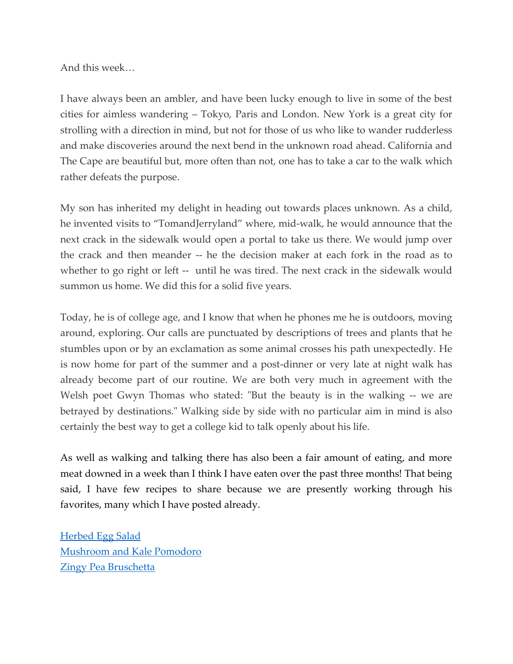And this week…

I have always been an ambler, and have been lucky enough to live in some of the best cities for aimless wandering – Tokyo, Paris and London. New York is a great city for strolling with a direction in mind, but not for those of us who like to wander rudderless and make discoveries around the next bend in the unknown road ahead. California and The Cape are beautiful but, more often than not, one has to take a car to the walk which rather defeats the purpose.

My son has inherited my delight in heading out towards places unknown. As a child, he invented visits to "TomandJerryland" where, mid-walk, he would announce that the next crack in the sidewalk would open a portal to take us there. We would jump over the crack and then meander -- he the decision maker at each fork in the road as to whether to go right or left -- until he was tired. The next crack in the sidewalk would summon us home. We did this for a solid five years.

Today, he is of college age, and I know that when he phones me he is outdoors, moving around, exploring. Our calls are punctuated by descriptions of trees and plants that he stumbles upon or by an exclamation as some animal crosses his path unexpectedly. He is now home for part of the summer and a post-dinner or very late at night walk has already become part of our routine. We are both very much in agreement with the Welsh poet Gwyn Thomas who stated: "But the beauty is in the walking -- we are betrayed by destinations." Walking side by side with no particular aim in mind is also certainly the best way to get a college kid to talk openly about his life.

As well as walking and talking there has also been a fair amount of eating, and more meat downed in a week than I think I have eaten over the past three months! That being said, I have few recipes to share because we are presently working through his favorites, many which I have posted already.

[Herbed Egg Salad](https://www.emptynesterrecipes.com/post/herbed-egg-salad) [Mushroom and Kale Pomodoro](https://www.emptynesterrecipes.com/post/mushroom-and-kale-pomodoro) [Zingy Pea Bruschetta](https://www.emptynesterrecipes.com/post/zingy-pea-bruschetta)